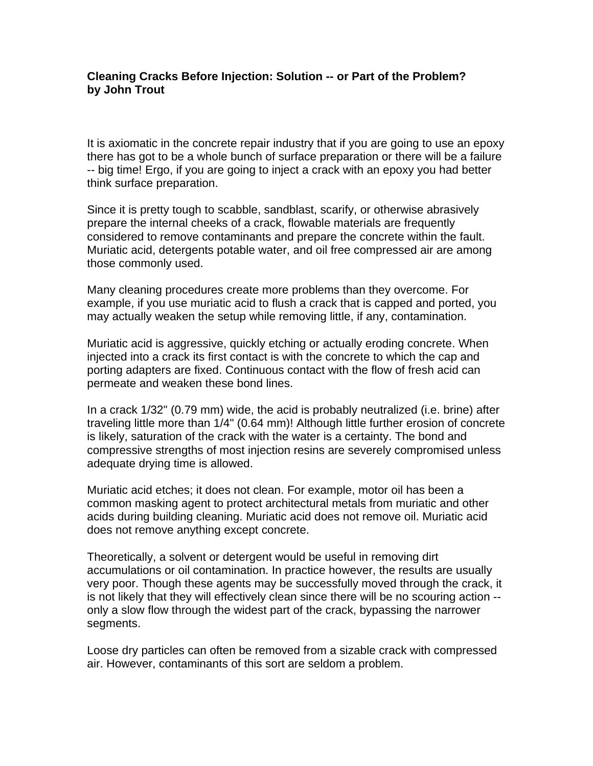## **Cleaning Cracks Before Injection: Solution -- or Part of the Problem? by John Trout**

It is axiomatic in the concrete repair industry that if you are going to use an epoxy there has got to be a whole bunch of surface preparation or there will be a failure -- big time! Ergo, if you are going to inject a crack with an epoxy you had better think surface preparation.

Since it is pretty tough to scabble, sandblast, scarify, or otherwise abrasively prepare the internal cheeks of a crack, flowable materials are frequently considered to remove contaminants and prepare the concrete within the fault. Muriatic acid, detergents potable water, and oil free compressed air are among those commonly used.

Many cleaning procedures create more problems than they overcome. For example, if you use muriatic acid to flush a crack that is capped and ported, you may actually weaken the setup while removing little, if any, contamination.

Muriatic acid is aggressive, quickly etching or actually eroding concrete. When injected into a crack its first contact is with the concrete to which the cap and porting adapters are fixed. Continuous contact with the flow of fresh acid can permeate and weaken these bond lines.

In a crack 1/32" (0.79 mm) wide, the acid is probably neutralized (i.e. brine) after traveling little more than 1/4" (0.64 mm)! Although little further erosion of concrete is likely, saturation of the crack with the water is a certainty. The bond and compressive strengths of most injection resins are severely compromised unless adequate drying time is allowed.

Muriatic acid etches; it does not clean. For example, motor oil has been a common masking agent to protect architectural metals from muriatic and other acids during building cleaning. Muriatic acid does not remove oil. Muriatic acid does not remove anything except concrete.

Theoretically, a solvent or detergent would be useful in removing dirt accumulations or oil contamination. In practice however, the results are usually very poor. Though these agents may be successfully moved through the crack, it is not likely that they will effectively clean since there will be no scouring action - only a slow flow through the widest part of the crack, bypassing the narrower segments.

Loose dry particles can often be removed from a sizable crack with compressed air. However, contaminants of this sort are seldom a problem.